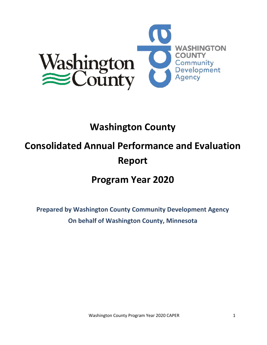

# **Washington County**

# **Consolidated Annual Performance and Evaluation Report**

# **Program Year 2020**

**Prepared by Washington County Community Development Agency On behalf of Washington County, Minnesota**

Washington County Program Year 2020 CAPER 1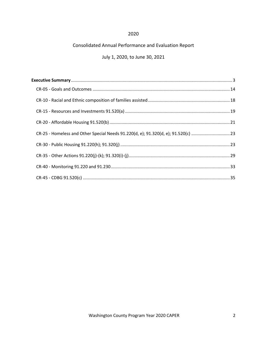# 2020

# Consolidated Annual Performance and Evaluation Report

# July 1, 2020, to June 30, 2021

| CR-25 - Homeless and Other Special Needs 91.220(d, e); 91.320(d, e); 91.520(c) 23 |  |
|-----------------------------------------------------------------------------------|--|
|                                                                                   |  |
|                                                                                   |  |
|                                                                                   |  |
|                                                                                   |  |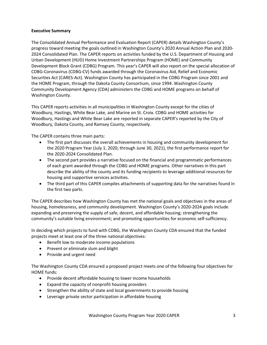## <span id="page-2-0"></span>**Executive Summary**

The Consolidated Annual Performance and Evaluation Report (CAPER) details Washington County's progress toward meeting the goals outlined in Washington County's 2020 Annual Action Plan and 2020- 2024 Consolidated Plan. The CAPER reports on activities funded by the U.S. Department of Housing and Urban Development (HUD) Home Investment Partnerships Program (HOME) and Community Development Block Grant (CDBG) Program. This year's CAPER will also report on the special allocation of CDBG-Coronavirus (CDBG-CV) funds awarded through the Coronavirus Aid, Relief and Economic Securities Act (CARES-Act). Washington County has participated in the CDBG Program since 2001 and the HOME Program, through the Dakota County Consortium, since 1994. Washington County Community Development Agency (CDA) administers the CDBG and HOME programs on behalf of Washington County.

This CAPER reports activities in all municipalities in Washington County except for the cities of Woodbury, Hastings, White Bear Lake, and Marine on St. Croix. CDBG and HOME activities for Woodbury, Hastings and White Bear Lake are reported in separate CAPER's reported by the City of Woodbury, Dakota County, and Ramsey County, respectively.

The CAPER contains three main parts:

- The first part discusses the overall achievements in housing and community development for the 2020 Program Year (July 1, 2020, through June 30, 2021), the first performance report for the 2020-2024 Consolidated Plan.
- The second part provides a narrative focused on the financial and programmatic performances of each grant awarded through the CDBG and HOME programs. Other narratives in this part describe the ability of the county and its funding recipients to leverage additional resources for housing and supportive services activities.
- The third part of this CAPER compiles attachments of supporting data for the narratives found in the first two parts.

The CAPER describes how Washington County has met the national goals and objectives in the areas of housing, homelessness, and community development. Washington County's 2020-2024 goals include expanding and preserving the supply of safe, decent, and affordable housing; strengthening the community's suitable living environment; and promoting opportunities for economic self‐sufficiency.

In deciding which projects to fund with CDBG, the Washington County CDA ensured that the funded projects meet at least one of the three national objectives:

- Benefit low to moderate income populations
- Prevent or eliminate slum and blight
- Provide and urgent need

The Washington County CDA ensured a proposed project meets one of the following four objectives for HOME funds:

- Provide decent affordable housing to lower income households
- Expand the capacity of nonprofit housing providers
- Strengthen the ability of state and local governments to provide housing
- Leverage private sector participation in affordable housing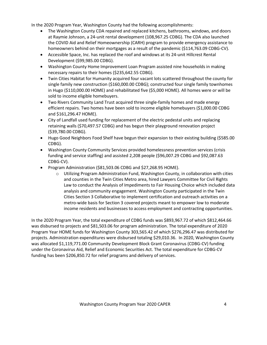In the 2020 Program Year, Washington County had the following accomplishments:

- The Washington County CDA repaired and replaced kitchens, bathrooms, windows, and doors at Raymie Johnson, a 24-unit rental development (108,967.25 CDBG). The CDA also launched the COVID Aid and Relief Homeownership (CARH) program to provide emergency assistance to homeowners behind on their mortgages as a result of the pandemic (\$114,763.09 CDBG-CV).
- Accessible Space, Inc. has replaced the roof and windows at its 24-unit Hillcrest Rental Development (\$99,985.00 CDBG).
- Washington County Home Improvement Loan Program assisted nine households in making necessary repairs to their homes (\$235,642.55 CDBG).
- Twin Cities Habitat for Humanity acquired four vacant lots scattered throughout the county for single family new construction (\$160,000.00 CDBG); constructed four single family townhomes in Hugo (\$110,000.00 HOME) and rehabilitated five (\$5,000 HOME). All homes were or will be sold to income eligible homebuyers.
- Two Rivers Community Land Trust acquired three single-family homes and made energy efficient repairs. Two homes have been sold to income eligible homebuyers (\$1,000.00 CDBG and \$161,296.47 HOME).
- City of Landfall used funding for replacement of the electric pedestal units and replacing retaining walls (\$70,497.57 CDBG) and has begun their playground renovation project (\$39,780.00 CDBG).
- Hugo Good Neighbors Food Shelf have begun their expansion to their existing building (\$585.00 CDBG).
- Washington County Community Services provided homelessness prevention services (crisis funding and service staffing) and assisted 2,208 people (\$96,007.29 CDBG and \$92,087.63 CDBG-CV).
- Program Administration (\$81,503.06 CDBG and \$27,268.95 HOME).
	- $\circ$  Utilizing Program Administration Fund, Washington County, in collaboration with cities and counties in the Twin Cities Metro area, hired Lawyers Committee for Civil Rights Law to conduct the Analysis of Impediments to Fair Housing Choice which included data analysis and community engagement. Washington County participated in the Twin Cities Section 3 Collaborative to implement certification and outreach activities on a metro-wide basis for Section 3 covered projects meant to empower low to moderate income residents and businesses to access employment and contracting opportunities.

In the 2020 Program Year, the total expenditure of CDBG funds was \$893,967.72 of which \$812,464.66 was disbursed to projects and \$81,503.06 for program administration. The total expenditure of 2020 Program Year HOME funds for Washington County 303,565.42 of which \$276,296.47 was distributed for projects. Administration expenditures were disbursed totaling \$29,010.36. In 2020, Washington County was allocated \$1,119,771.00 Community Development Block Grant Coronavirus (CDBG-CV) funding under the Coronavirus Aid, Relief and Economic Securities Act. The total expenditure for CDBG-CV funding has been \$206,850.72 for relief programs and delivery of services.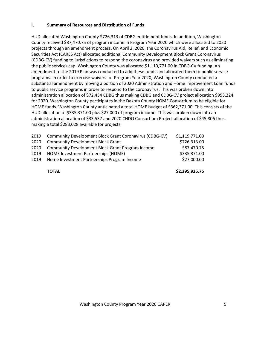## **I. Summary of Resources and Distribution of Funds**

HUD allocated Washington County \$726,313 of CDBG entitlement funds. In addition, Washington County received \$87,470.75 of program income in Program Year 2020 which were allocated to 2020 projects through an amendment process. On April 2, 2020, the Coronavirus Aid, Relief, and Economic Securities Act (CARES Act) allocated additional Community Development Block Grant Coronavirus (CDBG-CV) funding to jurisdictions to respond the coronavirus and provided waivers such as eliminating the public services cap. Washington County was allocated \$1,119,771.00 in CDBG-CV funding. An amendment to the 2019 Plan was conducted to add these funds and allocated them to public service programs. In order to exercise waivers for Program Year 2020, Washington County conducted a substantial amendment by moving a portion of 2020 Administration and Home Improvement Loan funds to public service programs in order to respond to the coronavirus. This was broken down into administration allocation of \$72,434 CDBG thus making CDBG and CDBG-CV project allocation \$953,224 for 2020. Washington County participates in the Dakota County HOME Consortium to be eligible for HOME funds. Washington County anticipated a total HOME budget of \$362,371.00. This consists of the HUD allocation of \$335,371.00 plus \$27,000 of program income. This was broken down into an administration allocation of \$33,537 and 2020 CHDO Consortium Project allocation of \$45,806 thus, making a total \$283,028 available for projects.

| 2019 | Community Development Block Grant Coronavirus (CDBG-CV) | \$1,119,771.00 |
|------|---------------------------------------------------------|----------------|
| 2020 | <b>Community Development Block Grant</b>                | \$726,313.00   |
| 2020 | <b>Community Development Block Grant Program Income</b> | \$87,470.75    |
| 2019 | HOME Investment Partnerships (HOME)                     | \$335,371.00   |
| 2019 | Home Investment Partnerships Program Income             | \$27,000.00    |
|      |                                                         |                |

**TOTAL \$2,295,925.75**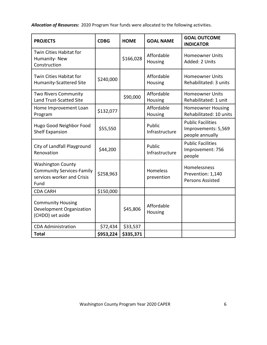*Allocation of Resources:* 2020 Program Year funds were allocated to the following activities.

| <b>PROJECTS</b>                                                                                    | <b>CDBG</b> | <b>HOME</b> | <b>GOAL NAME</b>              | <b>GOAL OUTCOME</b><br><b>INDICATOR</b>                            |
|----------------------------------------------------------------------------------------------------|-------------|-------------|-------------------------------|--------------------------------------------------------------------|
| Twin Cities Habitat for<br>Humanity-New<br>Construction                                            |             | \$166,028   | Affordable<br>Housing         | <b>Homeowner Units</b><br>Added: 2 Units                           |
| Twin Cities Habitat for<br><b>Humanity-Scattered Site</b>                                          | \$240,000   |             | Affordable<br>Housing         | <b>Homeowner Units</b><br>Rehabilitated: 3 units                   |
| <b>Two Rivers Community</b><br>Land Trust-Scatted Site                                             |             | \$90,000    | Affordable<br>Housing         | <b>Homeowner Units</b><br>Rehabilitated: 1 unit                    |
| Home Improvement Loan<br>Program                                                                   | \$132,077   |             | Affordable<br>Housing         | <b>Homeowner Housing</b><br>Rehabilitated: 10 units                |
| Hugo Good Neighbor Food<br><b>Shelf Expansion</b>                                                  | \$55,550    |             | Public<br>Infrastructure      | <b>Public Facilities</b><br>Improvements: 5,569<br>people annually |
| City of Landfall Playground<br>Renovation                                                          | \$44,200    |             | Public<br>Infrastructure      | <b>Public Facilities</b><br>Improvement: 756<br>people             |
| <b>Washington County</b><br><b>Community Services-Family</b><br>services worker and Crisis<br>Fund | \$258,963   |             | <b>Homeless</b><br>prevention | Homelessness<br>Prevention: 1,140<br><b>Persons Assisted</b>       |
| <b>CDA CARH</b>                                                                                    | \$150,000   |             |                               |                                                                    |
| <b>Community Housing</b><br>Development Organization<br>(CHDO) set aside                           |             | \$45,806    | Affordable<br>Housing         |                                                                    |
| <b>CDA Administration</b>                                                                          | \$72,434    | \$33,537    |                               |                                                                    |
| <b>Total</b>                                                                                       | \$953,224   | \$335,371   |                               |                                                                    |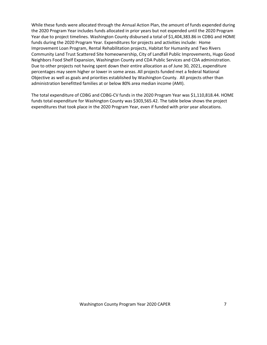While these funds were allocated through the Annual Action Plan, the amount of funds expended during the 2020 Program Year includes funds allocated in prior years but not expended until the 2020 Program Year due to project timelines. Washington County disbursed a total of \$1,404,383.86 in CDBG and HOME funds during the 2020 Program Year. Expenditures for projects and activities include: Home Improvement Loan Program, Rental Rehabilitation projects, Habitat for Humanity and Two Rivers Community Land Trust Scattered Site homeownership, City of Landfall Public Improvements, Hugo Good Neighbors Food Shelf Expansion, Washington County and CDA Public Services and CDA administration. Due to other projects not having spent down their entire allocation as of June 30, 2021, expenditure percentages may seem higher or lower in some areas. All projects funded met a federal National Objective as well as goals and priorities established by Washington County. All projects other than administration benefitted families at or below 80% area median income (AMI).

The total expenditure of CDBG and CDBG-CV funds in the 2020 Program Year was \$1,110,818.44. HOME funds total expenditure for Washington County was \$303,565.42. The table below shows the project expenditures that took place in the 2020 Program Year, even if funded with prior year allocations.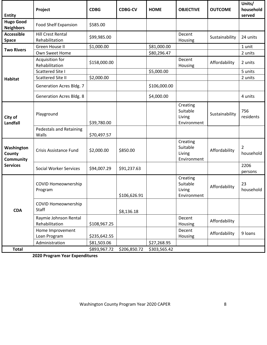|                                          | Project                                    | <b>CDBG</b>  | <b>CDBG-CV</b> | <b>HOME</b>  | <b>OBJECTIVE</b>                              | <b>OUTCOME</b> | Units/<br>household         |
|------------------------------------------|--------------------------------------------|--------------|----------------|--------------|-----------------------------------------------|----------------|-----------------------------|
| <b>Entity</b>                            |                                            |              |                |              |                                               |                | served                      |
| <b>Hugo Good</b><br><b>Neighbors</b>     | <b>Food Shelf Expansion</b>                | \$585.00     |                |              |                                               |                |                             |
| <b>Accessible</b><br><b>Space</b>        | <b>Hill Crest Rental</b><br>Rehabilitation | \$99,985.00  |                |              | Decent<br>Housing                             | Sustainability | 24 units                    |
|                                          | Green House II                             | \$1,000.00   |                | \$81,000.00  |                                               |                | 1 unit                      |
| <b>Two Rivers</b>                        | Own Sweet Home                             |              |                | \$80,296.47  |                                               |                | 2 units                     |
|                                          | Acquisition for<br>Rehabilitation          | \$158,000.00 |                |              | Decent<br>Housing                             | Affordability  | 2 units                     |
|                                          | <b>Scattered Site I</b>                    |              |                | \$5,000.00   |                                               |                | 5 units                     |
| <b>Habitat</b>                           | <b>Scattered Site II</b>                   | \$2,000.00   |                |              |                                               |                | 2 units                     |
|                                          | <b>Generation Acres Bldg. 7</b>            |              |                | \$106,000.00 |                                               |                |                             |
|                                          | <b>Generation Acres Bldg. 8</b>            |              |                | \$4,000.00   |                                               |                | 4 units                     |
| City of<br><b>Landfall</b>               | Playground                                 | \$39,780.00  |                |              | Creating<br>Suitable<br>Living<br>Environment | Sustainability | 756<br>residents            |
|                                          | <b>Pedestals and Retaining</b><br>Walls    | \$70,497.57  |                |              |                                               |                |                             |
| Washington<br>County<br><b>Community</b> | Crisis Assistance Fund                     | \$2,000.00   | \$850.00       |              | Creating<br>Suitable<br>Living<br>Environment | Affordability  | $\overline{2}$<br>household |
| <b>Services</b>                          | <b>Social Worker Services</b>              | \$94,007.29  | \$91,237.63    |              |                                               |                | 2206<br>persons             |
|                                          | <b>COVID Homeownership</b><br>Program      |              | \$106,626.91   |              | Creating<br>Suitable<br>Living<br>Environment | Affordability  | 23<br>household             |
| <b>CDA</b>                               | <b>COVID Homeownership</b><br>Staff        |              | \$8,136.18     |              |                                               |                |                             |
|                                          | Raymie Johnson Rental<br>Rehabilitation    | \$108,967.25 |                |              | Decent<br>Housing                             | Affordability  |                             |
|                                          | Home Improvement<br>Loan Program           | \$235,642.55 |                |              | Decent<br>Housing                             | Affordability  | 9 loans                     |
|                                          | Administration                             | \$81,503.06  |                | \$27,268.95  |                                               |                |                             |
| <b>Total</b>                             |                                            | \$893,967.72 | \$206,850.72   | \$303,565.42 |                                               |                |                             |

**2020 Program Year Expenditures**

Washington County Program Year 2020 CAPER 8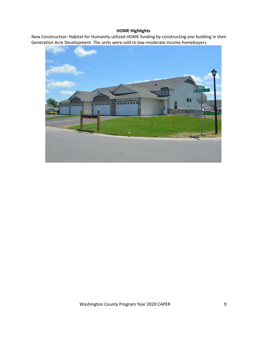# **HOME Highlights**

New Construction: Habitat for Humanity utilized HOME funding by constructing one building in their Generation Acre Development. The units were sold to low-moderate income homebuyers.



Washington County Program Year 2020 CAPER 9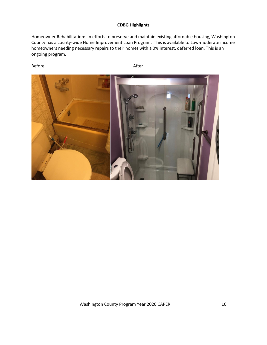# **CDBG Highlights**

Homeowner Rehabilitation: In efforts to preserve and maintain existing affordable housing, Washington County has a county-wide Home Improvement Loan Program. This is available to Low-moderate income homeowners needing necessary repairs to their homes with a 0% interest, deferred loan. This is an ongoing program.

Before **After** After

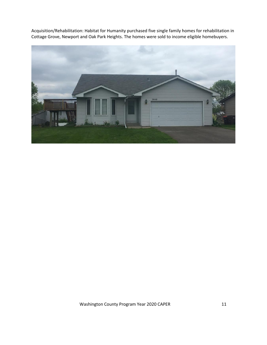Acquisition/Rehabilitation: Habitat for Humanity purchased five single family homes for rehabilitation in Cottage Grove, Newport and Oak Park Heights. The homes were sold to income eligible homebuyers.

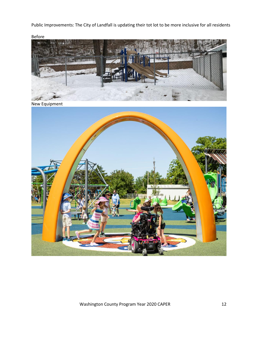Public Improvements: The City of Landfall is updating their tot lot to be more inclusive for all residents

Before



New Equipment

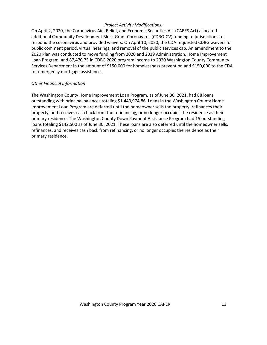## *Project Activity Modifications:*

On April 2, 2020, the Coronavirus Aid, Relief, and Economic Securities Act (CARES Act) allocated additional Community Development Block Grant Coronavirus (CDBG-CV) funding to jurisdictions to respond the coronavirus and provided waivers. On April 10, 2020, the CDA requested CDBG waivers for public comment period, virtual hearings, and removal of the public services cap. An amendment to the 2020 Plan was conducted to move funding from 2020 and 2019 Administration, Home Improvement Loan Program, and 87,470.75 in CDBG 2020 program income to 2020 Washington County Community Services Department in the amount of \$150,000 for homelessness prevention and \$150,000 to the CDA for emergency mortgage assistance.

#### *Other Financial Information*

The Washington County Home Improvement Loan Program, as of June 30, 2021, had 88 loans outstanding with principal balances totaling \$1,440,974.86. Loans in the Washington County Home Improvement Loan Program are deferred until the homeowner sells the property, refinances their property, and receives cash back from the refinancing, or no longer occupies the residence as their primary residence. The Washington County Down Payment Assistance Program had 15 outstanding loans totaling \$142,500 as of June 30, 2021. These loans are also deferred until the homeowner sells, refinances, and receives cash back from refinancing, or no longer occupies the residence as their primary residence.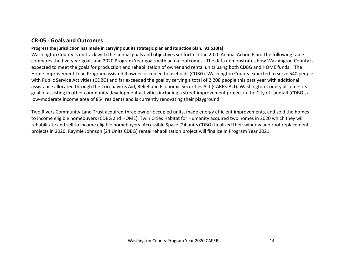# **CR-05 - Goals and Outcomes**

# **Progress the jurisdiction has made in carrying out its strategic plan and its action plan. 91.520(a)**

Washington County is on track with the annual goals and objectives set forth in the 2020 Annual Action Plan. The following table compares the five-year goals and 2020 Program Year goals with actual outcomes. The data demonstrates how Washington County is expected to meet the goals for production and rehabilitation of owner and rental units using both CDBG and HOME funds. The Home Improvement Loan Program assisted 9 owner-occupied households (CDBG). Washington County expected to serve 540 people with Public Service Activities (CDBG) and far exceeded the goal by serving a total of 2,208 people this past year with additional assistance allocated through the Coronavirus Aid, Relief and Economic Securities Act (CARES-Act). Washington County also met its goal of assisting in other community development activities including a street improvement project in the City of Landfall (CDBG), a low-moderate income area of 854 residents and is currently renovating their playground.

<span id="page-13-0"></span>Two Rivers Community Land Trust acquired three owner-occupied units, made energy efficient improvements, and sold the homes to income eligible homebuyers (CDBG and HOME). Twin Cities Habitat for Humanity acquired two homes in 2020 which they will rehabilitate and sell to income eligible homebuyers. Accessible Space (24 units CDBG) finalized their window and roof replacement projects in 2020. Raymie Johnson (24 Units CDBG) rental rehabilitation project will finalize in Program Year 2021.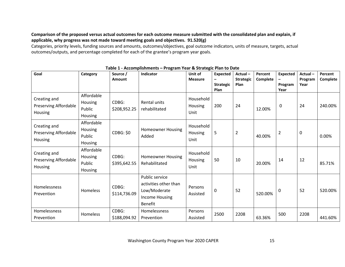**Comparison of the proposed versus actual outcomes for each outcome measure submitted with the consolidated plan and explain, if applicable, why progress was not made toward meeting goals and objectives. 91.520(g)**

Categories, priority levels, funding sources and amounts, outcomes/objectives, goal outcome indicators, units of measure, targets, actual outcomes/outputs, and percentage completed for each of the grantee's program year goals.

| Goal                                                    | Category                                          | Source /<br>Amount    | Indicator                                                                                   | Unit of<br><b>Measure</b>           | <b>Expected</b><br>-<br><b>Strategic</b><br>Plan | Actual-<br><b>Strategic</b><br><b>Plan</b> | Percent<br>Complete | <b>Expected</b><br>-<br>Program<br>Year | Actual-<br>Program<br>Year | Percent<br>Complete |
|---------------------------------------------------------|---------------------------------------------------|-----------------------|---------------------------------------------------------------------------------------------|-------------------------------------|--------------------------------------------------|--------------------------------------------|---------------------|-----------------------------------------|----------------------------|---------------------|
| Creating and<br>Preserving Affordable<br>Housing        | Affordable<br>Housing<br>Public<br>Housing        | CDBG:<br>\$208,952.25 | Rental units<br>rehabilitated                                                               | Household<br>Housing<br>Unit        | 200                                              | 24                                         | 12.00%              | 0                                       | 24                         | 240.00%             |
| Creating and<br>Preserving Affordable<br><b>Housing</b> | Affordable<br><b>Housing</b><br>Public<br>Housing | CDBG: \$0             | <b>Homeowner Housing</b><br>Added                                                           | Household<br>Housing<br>Unit        | 5                                                | $\overline{2}$                             | 40.00%              | $\overline{2}$                          | $\pmb{0}$                  | 0.00%               |
| Creating and<br>Preserving Affordable<br>Housing        | Affordable<br>Housing<br>Public<br><b>Housing</b> | CDBG:<br>\$395,642.55 | <b>Homeowner Housing</b><br>Rehabilitated                                                   | Household<br><b>Housing</b><br>Unit | 50                                               | 10                                         | 20.00%              | 14                                      | 12                         | 85.71%              |
| Homelessness<br>Prevention                              | <b>Homeless</b>                                   | CDBG:<br>\$114,736.09 | Public service<br>activities other than<br>Low/Moderate<br>Income Housing<br><b>Benefit</b> | Persons<br>Assisted                 | $\mathbf 0$                                      | 52                                         | 520.00%             | 0                                       | 52                         | 520.00%             |
| Homelessness<br>Prevention                              | Homeless                                          | CDBG:<br>\$188,094.92 | Homelessness<br>Prevention                                                                  | Persons<br>Assisted                 | 2500                                             | 2208                                       | 63.36%              | 500                                     | 2208                       | 441.60%             |

**Table 1 - Accomplishments – Program Year & Strategic Plan to Date**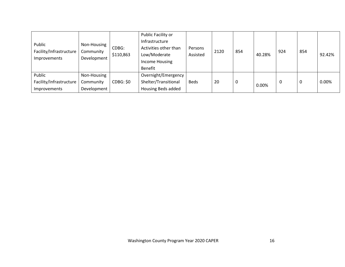| Public<br>Facility/Infrastructure<br>Improvements | Non-Housing<br>Community<br>Development | CDBG:<br>\$110,863 | Public Facility or<br>Infrastructure<br>Activities other than<br>Low/Moderate<br>Income Housing<br>Benefit | Persons<br>Assisted | 2120 | 854 | 40.28% | 924 | 854      | 92.42% |
|---------------------------------------------------|-----------------------------------------|--------------------|------------------------------------------------------------------------------------------------------------|---------------------|------|-----|--------|-----|----------|--------|
| Public<br>Facility/Infrastructure<br>Improvements | Non-Housing<br>Community<br>Development | CDBG: \$0          | Overnight/Emergency<br>Shelter/Transitional<br>Housing Beds added                                          | <b>Beds</b>         | 20   | υ   | 0.00%  | 0   | $\Omega$ | 0.00%  |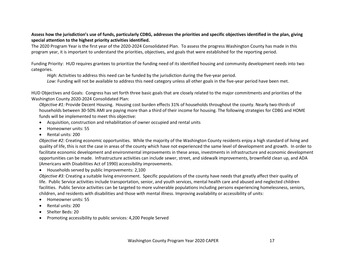**Assess how the jurisdiction's use of funds, particularly CDBG, addresses the priorities and specific objectives identified in the plan, giving special attention to the highest priority activities identified.**

The 2020 Program Year is the first year of the 2020-2024 Consolidated Plan. To assess the progress Washington County has made in this program year, it is important to understand the priorities, objectives, and goals that were established for the reporting period.

Funding Priority: HUD requires grantees to prioritize the funding need of its identified housing and community development needs into two categories.

*High:* Activities to address this need can be funded by the jurisdiction during the five-year period.

*Low:* Funding will not be available to address this need category unless all other goals in the five-year period have been met.

HUD Objectives and Goals: Congress has set forth three basic goals that are closely related to the major commitments and priorities of the Washington County 2020-2024 Consolidated Plan:

*Objective #1:* Provide Decent Housing. Housing cost burden effects 31% of households throughout the county. Nearly two-thirds of households between 30-50% AMI are paying more than a third of their income for housing. The following strategies for CDBG and HOME funds will be implemented to meet this objective:

- Acquisition, construction and rehabilitation of owner occupied and rental units
- Homeowner units: 55
- Rental units: 200

*Objective #2:* Creating economic opportunities. While the majority of the Washington County residents enjoy a high standard of living and quality of life, this is not the case in areas of the county which have not experienced the same level of development and growth. In order to facilitate economic development and environmental improvements in these areas, investments in infrastructure and economic development opportunities can be made. Infrastructure activities can include sewer, street, and sidewalk improvements, brownfield clean up, and ADA (Americans with Disabilities Act of 1990) accessibility improvements.

• Households served by public Improvements: 2,100

*Objective #3:* Creating a suitable living environment. Specific populations of the county have needs that greatly affect their quality of life. Public Service activities include transportation, senior, and youth services, mental health care and abused and neglected children facilities. Public Service activities can be targeted to more vulnerable populations including persons experiencing homelessness, seniors, children, and residents with disabilities and those with mental illness. Improving availability or accessibility of units:

- Homeowner units: 55
- Rental units: 200
- Shelter Beds: 20
- Promoting accessibility to public services: 4,200 People Served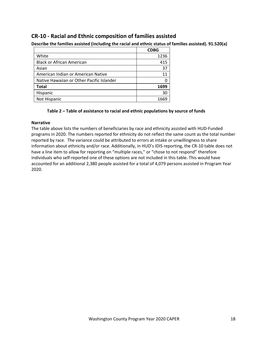# <span id="page-17-0"></span>**CR-10 - Racial and Ethnic composition of families assisted**

|                                           | <b>CDBG</b> |
|-------------------------------------------|-------------|
| White                                     | 1236        |
| <b>Black or African American</b>          | 415         |
| Asian                                     | 37          |
| American Indian or American Native        | 11          |
| Native Hawaiian or Other Pacific Islander |             |
| <b>Total</b>                              | 1699        |
| Hispanic                                  | 30          |
| Not Hispanic                              | 1669        |
|                                           |             |

**Describe the families assisted (including the racial and ethnic status of families assisted). 91.520(a)** 

# **Table 2 – Table of assistance to racial and ethnic populations by source of funds**

#### **Narrative**

The table above lists the numbers of beneficiaries by race and ethnicity assisted with HUD-Funded programs in 2020. The numbers reported for ethnicity do not reflect the same count as the total number reported by race. The variance could be attributed to errors at intake or unwillingness to share information about ethnicity and/or race. Additionally, in HUD's IDIS reporting, the CR-10 table does not have a line item to allow for reporting on "multiple races," or "chose to not respond" therefore individuals who self-reported one of these options are not included in this table. This would have accounted for an additional 2,380 people assisted for a total of 4,079 persons assisted in Program Year 2020.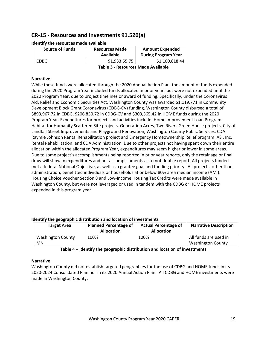# <span id="page-18-0"></span>**CR-15 - Resources and Investments 91.520(a)**

| <b>Resources Made</b><br>Available | <b>Amount Expended</b><br><b>During Program Year</b> |
|------------------------------------|------------------------------------------------------|
| \$1,933,55.75                      | \$1,100,818.44                                       |
|                                    |                                                      |

**Identify the resources made available**

**Table 3 - Resources Made Available**

# **Narrative**

While these funds were allocated through the 2020 Annual Action Plan, the amount of funds expended during the 2020 Program Year included funds allocated in prior years but were not expended until the 2020 Program Year, due to project timelines or award of funding. Specifically, under the Coronavirus Aid, Relief and Economic Securities Act, Washington County was awarded \$1,119,771 in Community Development Block Grant Coronavirus (CDBG-CV) funding. Washington County disbursed a total of \$893,967.72 in CDBG, \$206,850.72 in CDBG-CV and \$303,565,42 in HOME funds during the 2020 Program Year. Expenditures for projects and activities include: Home Improvement Loan Program, Habitat for Humanity Scattered Site projects, Generation Acres, Two Rivers Green House projects, City of Landfall Street Improvements and Playground Renovation, Washington County Public Services, CDA Raymie Johnson Rental Rehabilitation project and Emergency Homeownership Relief program, ASI, Inc. Rental Rehabilitation, and CDA Administration. Due to other projects not having spent down their entire allocation within the allocated Program Year, expenditures may seem higher or lower in some areas. Due to some project's accomplishments being reported in prior year reports, only the retainage or final draw will show in expenditures and not accomplishments as to not double report. All projects funded met a federal National Objective, as well as a grantee goal and funding priority. All projects, other than administration, benefitted individuals or households at or below 80% area median income (AMI). Housing Choice Voucher Section 8 and Low-Income Housing Tax Credits were made available in Washington County, but were not leveraged or used in tandem with the CDBG or HOME projects expended in this program year.

| <b>Target Area</b>       | <b>Planned Percentage of</b><br><b>Allocation</b> | <b>Actual Percentage of</b><br><b>Allocation</b> | <b>Narrative Description</b> |
|--------------------------|---------------------------------------------------|--------------------------------------------------|------------------------------|
| <b>Washington County</b> | 100%                                              | 100%                                             | All funds are used in        |
| MN                       |                                                   |                                                  | <b>Washington County</b>     |

## **Identify the geographic distribution and location of investments**

**Table 4 – Identify the geographic distribution and location of investments**

## **Narrative**

Washington County did not establish targeted geographies for the use of CDBG and HOME funds in its 2020-2024 Consolidated Plan nor in its 2020 Annual Action Plan. All CDBG and HOME investments were made in Washington County.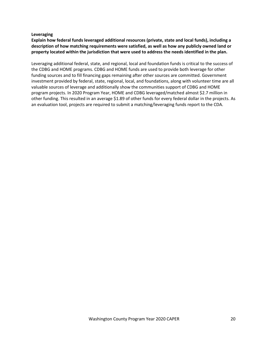#### **Leveraging**

**Explain how federal funds leveraged additional resources (private, state and local funds), including a description of how matching requirements were satisfied, as well as how any publicly owned land or property located within the jurisdiction that were used to address the needs identified in the plan.**

Leveraging additional federal, state, and regional, local and foundation funds is critical to the success of the CDBG and HOME programs. CDBG and HOME funds are used to provide both leverage for other funding sources and to fill financing gaps remaining after other sources are committed. Government investment provided by federal, state, regional, local, and foundations, along with volunteer time are all valuable sources of leverage and additionally show the communities support of CDBG and HOME program projects. In 2020 Program Year, HOME and CDBG leveraged/matched almost \$2.7 million in other funding. This resulted in an average \$1.89 of other funds for every federal dollar in the projects. As an evaluation tool, projects are required to submit a matching/leveraging funds report to the CDA.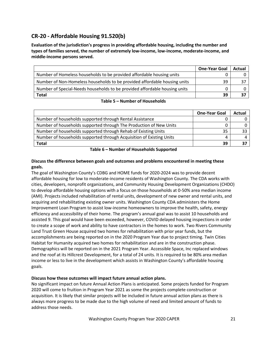# <span id="page-20-0"></span>**CR-20 - Affordable Housing 91.520(b)**

**Evaluation of the jurisdiction's progress in providing affordable housing, including the number and types of families served, the number of extremely low-income, low-income, moderate-income, and middle-income persons served.**

|                                                                            | <b>One-Year Goal</b> | Actual |
|----------------------------------------------------------------------------|----------------------|--------|
| Number of Homeless households to be provided affordable housing units      |                      |        |
| Number of Non-Homeless households to be provided affordable housing units  | 39                   |        |
| Number of Special-Needs households to be provided affordable housing units |                      |        |
| <b>Total</b>                                                               | 39                   |        |

## **Table 5 – Number of Households**

|                                                                      | <b>One-Year Goal</b> | Actual |
|----------------------------------------------------------------------|----------------------|--------|
| Number of households supported through Rental Assistance             |                      |        |
| Number of households supported through The Production of New Units   |                      |        |
| Number of households supported through Rehab of Existing Units       | 35                   |        |
| Number of households supported through Acquisition of Existing Units |                      |        |
| <b>Total</b>                                                         | 39                   |        |

**Table 6 – Number of Households Supported**

# **Discuss the difference between goals and outcomes and problems encountered in meeting these goals.**

The goal of Washington County's CDBG and HOME funds for 2020-2024 was to provide decent affordable housing for low to moderate-income residents of Washington County. The CDA works with cities, developers, nonprofit organizations, and Community Housing Development Organizations (CHDO) to develop affordable housing options with a focus on those households at 0-50% area median income (AMI). Projects included rehabilitation of rental units, development of new owner and rental units, and acquiring and rehabilitating existing owner units. Washington County CDA administers the Home Improvement Loan Program to assist low-income homeowners to improve the health, safety, energy efficiency and accessibility of their home. The program's annual goal was to assist 10 households and assisted 9. This goal would have been exceeded, however, COVID delayed housing inspections in order to create a scope of work and ability to have contractors in the homes to work. Two Rivers Community Land Trust Green House acquired two homes for rehabilitation with prior year funds, but the accomplishments are being reported on in the 2020 Program Year due to project timing. Twin Cities Habitat for Humanity acquired two homes for rehabilitation and are in the construction phase. Demographics will be reported on in the 2021 Program Year. Accessible Space, Inc replaced windows and the roof at its Hillcrest Development, for a total of 24 units. It is required to be 80% area median income or less to live in the development which assists in Washington County's affordable housing goals.

# **Discuss how these outcomes will impact future annual action plans.**

No significant impact on future Annual Action Plans is anticipated. Some projects funded for Program 2020 will come to fruition in Program Year 2021 as some the projects complete construction or acquisition. It is likely that similar projects will be included in future annual action plans as there is always more progress to be made due to the high volume of need and limited amount of funds to address those needs.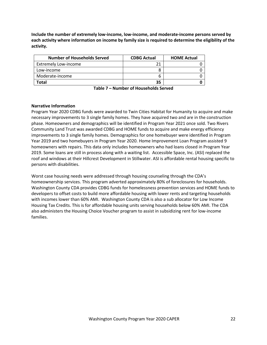**Include the number of extremely low-income, low-income, and moderate-income persons served by each activity where information on income by family size is required to determine the eligibility of the activity.**

| <b>Number of Households Served</b> | <b>CDBG Actual</b> | <b>HOME Actual</b> |
|------------------------------------|--------------------|--------------------|
| <b>Extremely Low-income</b>        |                    |                    |
| Low-income                         |                    |                    |
| Moderate-income                    |                    |                    |
| Total                              | 35                 |                    |

| Table 7 - Number of Households Served |  |  |
|---------------------------------------|--|--|
|---------------------------------------|--|--|

# **Narrative Information**

Program Year 2020 CDBG funds were awarded to Twin Cities Habitat for Humanity to acquire and make necessary improvements to 3 single family homes. They have acquired two and are in the construction phase. Homeowners and demographics will be identified in Program Year 2021 once sold. Two Rivers Community Land Trust was awarded CDBG and HOME funds to acquire and make energy efficiency improvements to 3 single family homes. Demographics for one homebuyer were identified in Program Year 2019 and two homebuyers in Program Year 2020. Home Improvement Loan Program assisted 9 homeowners with repairs. This data only includes homeowners who had loans closed in Program Year 2019. Some loans are still in process along with a waiting list. Accessible Space, Inc. (ASI) replaced the roof and windows at their Hillcrest Development in Stillwater. ASI is affordable rental housing specific to persons with disabilities.

Worst case housing needs were addressed through housing counseling through the CDA's homeownership services. This program adverted approximately 80% of foreclosures for households. Washington County CDA provides CDBG funds for homelessness prevention services and HOME funds to developers to offset costs to build more affordable housing with lower rents and targeting households with incomes lower than 60% AMI. Washington County CDA is also a sub allocator for Low Income Housing Tax Credits. This is for affordable housing units serving households below 60% AMI. The CDA also administers the Housing Choice Voucher program to assist in subsidizing rent for low-income families.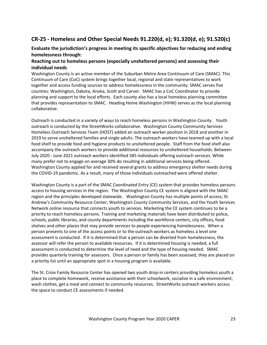# <span id="page-22-0"></span>**CR-25 - Homeless and Other Special Needs 91.220(d, e); 91.320(d, e); 91.520(c)**

# <span id="page-22-1"></span>**Evaluate the jurisdiction's progress in meeting its specific objectives for reducing and ending homelessness through:**

# **Reaching out to homeless persons (especially unsheltered persons) and assessing their individual needs**

Washington County is an active member of the Suburban Metro Area Continuum of Care (SMAC). This Continuum of Care (CoC) system brings together local, regional and state representatives to work together and access funding sources to address homelessness in the community. SMAC serves five counties: Washington, Dakota, Anoka, Scott and Carver. SMAC has a CoC Coordinator to provide planning and support to the local efforts. Each county also has a local homeless planning committee that provides representation to SMAC. Heading Home Washington (HHW) serves as the local planning collaborative.

Outreach is conducted in a variety of ways to reach homeless persons in Washington County. Youth outreach is conducted by the StreetWorks collaborative. Washington County Community Services Homeless Outreach Services Team (HOST) added an outreach worker position in 2018 and another in 2019 to serve unsheltered families and single adults. The outreach workers have teamed up with a local food shelf to provide food and hygiene products to unsheltered people. Staff from the food shelf also accompany the outreach workers to provide additional resources to unsheltered households. Between July 2020 - June 2021 outreach workers identified 585 individuals offering outreach services. While many prefer not to engage on average 30% do resulting in additional services being offered. Washington County applied for and received several grants to address emergency shelter needs during the COVID-19 pandemic. As a result, many of those individuals outreached were offered shelter.

Washington County is a part of the SMAC Coordinated Entry (CE) system that provides homeless persons access to housing services in the region. The Washington County CE system is aligned with the SMAC region and the principles developed statewide. Washington County has multiple points of access; St. Andrew's Community Resource Center, Washington County Community Services, and the Youth Services Network online resource that connects youth to services. Marketing the CE system continues to be a priority to reach homeless persons. Training and marketing materials have been distributed to police, schools, public libraries, and county departments including the workforce centers, city offices, food shelves and other places that may provide services to people experiencing homelessness. When a person presents to one of the access points or to the outreach workers as homeless a level one assessment is conducted. If it is determined that a person can be diverted from homelessness, the assessor will refer the person to available resources. If it is determined housing is needed, a full assessment is conducted to determine the level of need and the type of housing needed. SMAC provides quarterly training for assessors. Once a person or family has been assessed, they are placed on a priority list until an appropriate spot in a housing program is available.

The St. Croix Family Resource Center has opened two youth drop-in centers providing homeless youth a place to complete homework, receive assistance with their schoolwork, socialize in a safe environment, wash clothes, get a meal and connect to community resources. StreetWorks outreach workers access the space to conduct CE assessments if needed.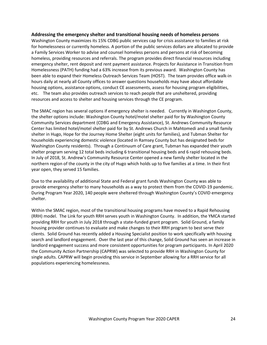#### **Addressing the emergency shelter and transitional housing needs of homeless persons**

Washington County maximizes its 15% CDBG public services cap for crisis assistance to families at risk for homelessness or currently homeless. A portion of the public services dollars are allocated to provide a Family Services Worker to advise and counsel homeless persons and persons at risk of becoming homeless, providing resources and referrals. The program provides direct financial resources including emergency shelter, rent deposit and rent payment assistance. Projects for Assistance in Transition from Homelessness (PATH) funding had a 63% increase from its previous award. Washington County has been able to expand their Homeless Outreach Services Team (HOST). The team provides office walk-in hours daily at nearly all County offices to answer questions households may have about affordable housing options, assistance options, conduct CE assessments, assess for housing program eligibilities, etc. The team also provides outreach services to reach people that are unsheltered, providing resources and access to shelter and housing services through the CE program.

The SMAC region has several options if emergency shelter is needed. Currently in Washington County, the shelter options include: Washington County hotel/motel shelter paid for by Washington County Community Services department (CDBG and Emergency Assistance), St. Andrews Community Resource Center has limited hotel/motel shelter paid for by St. Andrews Church in Mahtomedi and a small family shelter in Hugo, Hope for the Journey Home Shelter (eight units for families), and Tubman Shelter for households experiencing domestic violence (located in Ramsey County but has designated beds for Washington County residents). Through a Continuum of Care grant, Tubman has expanded their youth shelter program serving 12 total beds including 6 transitional housing beds and 6 rapid rehousing beds. In July of 2018, St. Andrew's Community Resource Center opened a new family shelter located in the northern region of the county in the city of Hugo which holds up to five families at a time. In their first year open, they served 15 families.

Due to the availability of additional State and Federal grant funds Washington County was able to provide emergency shelter to many households as a way to protect them from the COVID-19 pandemic. During Program Year 2020, 140 people were sheltered through Washington County's COVID emergency shelter.

Within the SMAC region, most of the transitional housing programs have moved to a Rapid Rehousing (RRH) model. The Link for youth RRH serves youth in Washington County. In addition, the YMCA started providing RRH for youth in July 2018 through a state-funded grant program. Solid Ground, a family housing provider continues to evaluate and make changes to their RRH program to best serve their clients. Solid Ground has recently added a Housing Specialist position to work specifically with housing search and landlord engagement. Over the last year of this change, Solid Ground has seen an increase in landlord engagement success and more consistent opportunities for program participants. In April 2020 the Community Action Partnership (CAPRW) was selected to provide RRH in Washington County for single adults. CAPRW will begin providing this service in September allowing for a RRH service for all populations experiencing homelessness.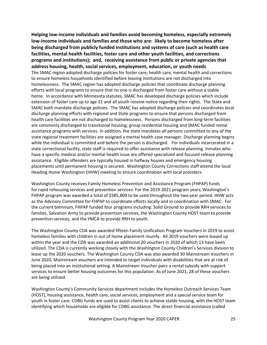**Helping low-income individuals and families avoid becoming homeless, especially extremely low-income individuals and families and those who are: likely to become homeless after being discharged from publicly funded institutions and systems of care (such as health care facilities, mental health facilities, foster care and other youth facilities, and corrections programs and institutions); and, receiving assistance from public or private agencies that address housing, health, social services, employment, education, or youth needs** The SMAC region adopted discharge policies for foster care, health care, mental health and corrections to ensure homeless households identified before leaving institutions are not discharged into homelessness. The SMAC region has adopted discharge policies that coordinate discharge planning efforts with local programs to ensure that no one is discharged from foster care without a stable home. In accordance with Minnesota statutes, SMAC has developed discharge policies which include extension of foster care up to age 21 and all youth receive notice regarding their rights. The State and SMAC both mandate discharge policies. The SMAC has adopted discharge policies and coordinates local discharge planning efforts with regional and State programs to ensure that persons discharged from health care facilities are not discharged to homelessness. Persons discharged from long-term facilities are commonly discharged to transitional housing; group residential housing and SMAC funded rental assistance programs with services. In addition, the state mandates all persons committed to any of the state regional treatment facilities are assigned a mental health case manager. Discharge planning begins while the individual is committed and before the person is discharged. For individuals incarcerated in a state correctional facility, state staff is required to offer assistance with release planning. Inmates who have a specific medical and/or mental health issue are offered specialized and focused release planning assistance. Eligible offenders are typically housed in halfway houses and emergency housing placements until permanent housing is secured. Washington County Corrections staff attend the local Heading Home Washington (HHW) meeting to ensure coordination with local providers.

Washington County receives Family Homeless Prevention and Assistance Program (FHPAP) funds for rapid rehousing services and prevention services. For the 2019-2021 program years, Washington's FHPAP program was awarded a total of \$585,809 to be used throughout the two-year period. HHW acts as the Advisory Committee for FHPAP to coordinate efforts locally and in coordination with SMAC. For the current biennium, FHPAP funded four programs including: Solid Ground to provide RRH services to families, Salvation Army to provide prevention services, the Washington County HOST team to provide prevention services, and the YMCA to provide RRH to youth.

The Washington County CDA was awarded fifteen Family Unification Program Vouchers in 2019 to assist homeless families with children in out of home placement reunify. All 2019 vouchers were leased up within the year and the CDA was awarded an additional 20 vouchers in 2020 of which 13 have been utilized. The CDA is currently working closely with the Washington County Children's Services division to lease up the 2020 vouchers. The Washington County CDA was also awarded 30 Mainstream Vouchers in June 2020. Mainstream vouchers are intended to target individuals with disabilities that are at risk of being placed into an institutional setting. A Mainstream Voucher pairs a rental subsidy with support services to ensure better housing outcomes for this population. As of June 2021, 28 of these vouchers are being utilized.

Washington County's Community Services department includes the Homeless Outreach Services Team (HOST), housing assistance, health care, social services, employment and a special service team for youth in foster care. CDBG funds are used to assist clients to achieve stable housing, with the HOST team identifying which households are eligible for CDBG assistance. The direct financial assistance (called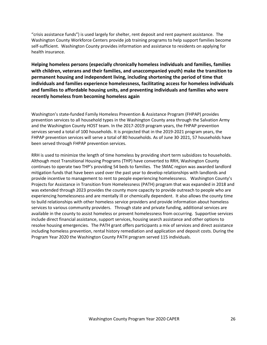"crisis assistance funds") is used largely for shelter, rent deposit and rent payment assistance. The Washington County Workforce Centers provide job training programs to help support families become self-sufficient. Washington County provides information and assistance to residents on applying for health insurance.

**Helping homeless persons (especially chronically homeless individuals and families, families with children, veterans and their families, and unaccompanied youth) make the transition to permanent housing and independent living, including shortening the period of time that individuals and families experience homelessness, facilitating access for homeless individuals and families to affordable housing units, and preventing individuals and families who were recently homeless from becoming homeless again**

Washington's state-funded Family Homeless Prevention & Assistance Program (FHPAP) provides prevention services to all household types in the Washington County area through the Salvation Army and the Washington County HOST team. In the 2017-2019 program years, the FHPAP prevention services served a total of 100 households. It is projected that in the 2019-2021 program years, the FHPAP prevention services will serve a total of 80 households. As of June 30, 2021, 57 households have been served through FHPAP prevention services.

RRH is used to minimize the length of time homeless by providing short term subsidizes to households. Although most Transitional Housing Programs (THP) have converted to RRH, Washington County continues to operate two THP's providing 54 beds to families. The SMAC region was awarded landlord mitigation funds that have been used over the past year to develop relationships with landlords and provide incentive to management to rent to people experiencing homelessness. Washington County's Projects for Assistance in Transition from Homelessness (PATH) program that was expanded in 2018 and was extended through 2023 provides the county more capacity to provide outreach to people who are experiencing homelessness and are mentally ill or chemically dependent. It also allows the county time to build relationships with other homeless service providers and provide information about homeless services to various community providers. Through state and private funding, additional services are available in the county to assist homeless or prevent homelessness from occurring. Supportive services include direct financial assistance, support services, housing search assistance and other options to resolve housing emergencies. The PATH grant offers participants a mix of services and direct assistance including homeless prevention, rental history remediation and application and deposit costs. During the Program Year 2020 the Washington County PATH program served 115 individuals.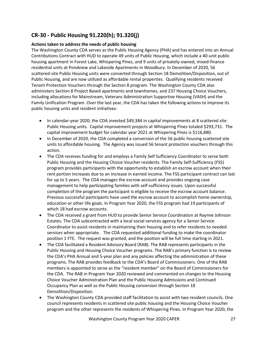# **CR-30 - Public Housing 91.220(h); 91.320(j)**

# **Actions taken to address the needs of public housing**

The Washington County CDA serves as the Public Housing Agency (PHA) and has entered into an Annual Contributions Contract with HUD to operate 49 units of Public Housing, which include a 40-unit public housing apartment in Forest Lake, Whispering Pines, and 9 units of privately-owned, mixed-finance residential units at Pondview and Lakeside Apartments in Woodbury. In December of 2020, 56 scattered-site Public Housing units were converted through Section 18 Demolition/Disposition, out of Public Housing, and are now utilized as affordable rental properties. Qualifying residents received Tenant Protection Vouchers through the Section 8 program. The Washington County CDA also administers Section 8 Project Based apartments and townhomes, and 237 Housing Choice Vouchers, including allocations for Mainstream, Veterans Administration Supportive Housing (VASH) and the Family Unification Program. Over the last year, the CDA has taken the following actions to improve its public housing units and resident initiatives:

- In calendar-year 2020, the CDA invested \$49,384 in capital improvements at 8 scattered site Public Housing units. Capital improvement projects at Whispering Pines totaled \$293,731. The capital improvement budget for calendar year 2021 at Whispering Pines is \$116,880.
- In December of 2020, the CDA completed a conversion of the 56 public housing scattered site units to affordable housing. The Agency was issued 56 tenant protection vouchers through this action.
- The CDA receives funding for and employs a Family Self Sufficiency Coordinator to serve both Public Housing and the Housing Choice Voucher residents. The Family Self-Sufficiency (FSS) program provides participants with the opportunity to establish an escrow account when their rent portion increases due to an increase in earned income. The FSS participant contract can last for up to 5 years. The CDA manages the escrow account and provides ongoing case management to help participating families with self-sufficiency issues. Upon successful completion of the program the participant is eligible to receive the escrow account balance. Previous successful participants have used the escrow account to accomplish home ownership, education or other life goals. In Program Year 2020, the FSS program had 19 participants of which 18 had escrow accounts.
- The CDA received a grant from HUD to provide Senior Service Coordination at Raymie Johnson Estates. The CDA subcontracted with a local social services agency for a Senior Service Coordinator to assist residents in maintaining their housing and to refer residents to needed services when appropriate. The CDA requested additional funding to make the coordinator position 1 FTE. The request was granted, and the position will be full time starting in 2021.
- The CDA facilitated a Resident Advisory Board (RAB). The RAB represents participants in the Public Housing and Housing Choice Voucher programs. The RAB's primary function is to review the CDA's PHA Annual and 5-year plan and any policies affecting the administration of these programs. The RAB provides feedback to the CDA's Board of Commissioners. One of the RAB members is appointed to serve as the "resident member" on the Board of Commissioners for the CDA. The RAB in Program Year 2020 reviewed and commented on changes to the Housing Choice Voucher Administration Plan and the Public Housing Admissions and Continued Occupancy Plan as well as the Public Housing conversion through Section 18 Demolition/Disposition.
- The Washington County CDA provided staff facilitation to assist with two resident councils. One council represents residents in scattered site public housing and the Housing Choice Voucher program and the other represents the residents of Whispering Pines. In Program Year 2020, the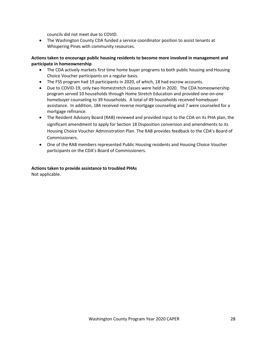councils did not meet due to COVID.

• The Washington County CDA funded a service coordinator position to assist tenants at Whispering Pines with community resources.

# **Actions taken to encourage public housing residents to become more involved in management and participate in homeownership**

- The CDA actively markets first time home buyer programs to both public housing and Housing Choice Voucher participants on a regular basis.
- The FSS program had 19 participants in 2020, of which, 18 had escrow accounts.
- Due to COVID-19, only two Homestretch classes were held in 2020. The CDA homeownership program served 10 households through Home Stretch Education and provided one-on-one homebuyer counseling to 39 households. A total of 49 households received homebuyer assistance. In addition, 184 received reverse mortgage counseling and 7 were counseled for a mortgage refinance.
- The Resident Advisory Board (RAB) reviewed and provided input to the CDA on its PHA plan, the significant amendment to apply for Section 18 Disposition conversion and amendments to its Housing Choice Voucher Administration Plan. The RAB provides feedback to the CDA's Board of Commissioners.
- One of the RAB members represented Public Housing residents and Housing Choice Voucher participants on the CDA's Board of Commissioners.

## **Actions taken to provide assistance to troubled PHAs**

Not applicable.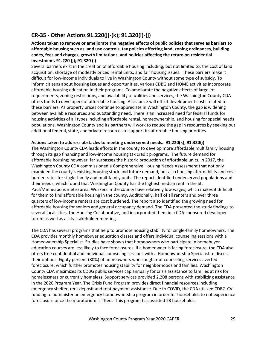# <span id="page-28-0"></span>**CR-35 - Other Actions 91.220(j)-(k); 91.320(i)-(j)**

**Actions taken to remove or ameliorate the negative effects of public policies that serve as barriers to affordable housing such as land use controls, tax policies affecting land, zoning ordinances, building codes, fees and charges, growth limitations, and policies affecting the return on residential investment. 91.220 (j); 91.320 (i)**

Several barriers exist in the creation of affordable housing including, but not limited to, the cost of land acquisition, shortage of modestly priced rental units, and fair housing issues. These barriers make it difficult for low-income individuals to live in Washington County without some type of subsidy. To inform citizens about housing issues and opportunities, various CDBG and HOME activities incorporate affordable housing education in their programs. To ameliorate the negative effects of large lot requirements, zoning restrictions, and availability of utilities and services, the Washington County CDA offers funds to developers of affordable housing. Assistance will offset development costs related to these barriers. As property prices continue to appreciate in Washington County, the gap is widening between available resources and outstanding need. There is an increased need for federal funds for housing activities of all types including affordable rental, homeownership, and housing for special needs populations. Washington County and its partners will work to reduce the gap in resources by seeking out additional federal, state, and private resources to support its affordable housing priorities.

## **Actions taken to address obstacles to meeting underserved needs. 91.220(k); 91.320(j)**

The Washington County CDA leads efforts in the county to develop more affordable multifamily housing through its gap financing and low-income housing tax credit programs. The future demand for affordable housing; however, far surpasses the historic production of affordable units. In 2017, the Washington County CDA commissioned a Comprehensive Housing Needs Assessment that not only examined the county's existing housing stock and future demand, but also housing affordability and cost burden rates for single-family and multifamily units. The report identified underserved populations and their needs, which found that Washington County has the highest median rent in the St. Paul/Minneapolis metro area. Workers in the county have relatively low wages, which makes it difficult for them to find affordable housing in the county. Additionally, half of all renters and over three quarters of low-income renters are cost burdened. The report also identified the growing need for affordable housing for seniors and general occupancy demand. The CDA presented the study findings to several local cities, the Housing Collaborative, and incorporated them in a CDA-sponsored developer forum as well as a city stakeholder meeting.

The CDA has several programs that help to promote housing stability for single-family homeowners. The CDA provides monthly homebuyer education classes and offers individual counseling sessions with a Homeownership Specialist. Studies have shown that homeowners who participate in homebuyer education courses are less likely to face foreclosures. If a homeowner is facing foreclosure, the CDA also offers free confidential and individual counseling sessions with a Homeownership Specialist to discuss their options. Eighty percent (80%) of homeowners who sought out counseling services averted foreclosure, which further promotes housing stability for neighborhoods and families. Washington County CDA maximizes its CDBG public services cap annually for crisis assistance to families at risk for homelessness or currently homeless. Support services provided 2,208 persons with stabilizing assistance in the 2020 Program Year. The Crisis Fund Program provides direct financial resources including emergency shelter, rent deposit and rent payment assistance. Due to COVID, the CDA utilized CDBG-CV funding to administer an emergency homeownership program in order for households to not experience foreclosure once the moratorium is lifted. This program has assisted 23 households.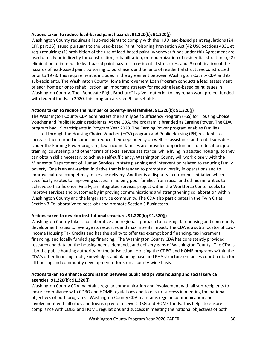## **Actions taken to reduce lead-based paint hazards. 91.220(k); 91.320(j)**

Washington County requires all sub-recipients to comply with the HUD lead-based paint regulations (24 CFR part 35) issued pursuant to the Lead-based Paint Poisoning Prevention Act (42 USC Sections 4831 et seq.) requiring: (1) prohibition of the use of lead-based paint (whenever funds under this Agreement are used directly or indirectly for construction, rehabilitation, or modernization of residential structures); (2) elimination of immediate lead-based paint hazards in residential structures; and (3) notification of the hazards of lead-based paint poisoning to purchasers and tenants of residential structures constructed prior to 1978. This requirement is included in the agreement between Washington County CDA and its sub-recipients. The Washington County Home Improvement Loan Program conducts a lead assessment of each home prior to rehabilitation; an important strategy for reducing lead-based paint issues in Washington County. The "Renovate Right Brochure" is given out prior to any rehab work project funded with federal funds. In 2020, this program assisted 9 households.

## **Actions taken to reduce the number of poverty-level families. 91.220(k); 91.320(j)**

The Washington County CDA administers the Family Self Sufficiency Program (FSS) for Housing Choice Voucher and Public Housing recipients. At the CDA, the program is branded as Earning Power. The CDA program had 19 participants in Program Year 2020. The Earning Power program enables families assisted through the Housing Choice Voucher (HCV) program and Public Housing (PH) residents to increase their earned income and reduce their dependency on welfare assistance and rental subsidies. Under the Earning Power program, low-income families are provided opportunities for education, job training, counseling, and other forms of social service assistance, while living in assisted housing, so they can obtain skills necessary to achieve self-sufficiency. Washington County will work closely with the Minnesota Department of Human Services in state planning and intervention related to reducing family poverty. One is an anti-racism initiative that is intended to promote diversity in operations and to improve cultural competency in service delivery. Another is a disparity in outcomes initiative which specifically relates to improving success in helping poor families from racial and ethnic minorities to achieve self-sufficiency. Finally, an integrated services project within the Workforce Center seeks to improve services and outcomes by improving communications and strengthening collaboration within Washington County and the larger service community. The CDA also participates in the Twin Cities Section 3 Collaborative to post jobs and promote Section 3 Businesses.

## **Actions taken to develop institutional structure. 91.220(k); 91.320(j)**

Washington County takes a collaborative and regional approach to housing, fair housing and community development issues to leverage its resources and maximize its impact. The CDA is a sub allocator of Low-Income Housing Tax Credits and has the ability to offer tax exempt bond financing, tax increment financing, and locally funded gap financing. The Washington County CDA has consistently provided research and data on the housing needs, demands, and delivery gaps of Washington County. The CDA is also the public housing authority for the jurisdiction. Housing the CDBG and HOME programs within the CDA's other financing tools, knowledge, and planning base and PHA structure enhances coordination for all housing and community development efforts on a county-wide basis.

## **Actions taken to enhance coordination between public and private housing and social service agencies. 91.220(k); 91.320(j)**

Washington County CDA maintains regular communication and involvement with all sub-recipients to ensure compliance with CDBG and HOME regulations and to ensure success in meeting the national objectives of both programs. Washington County CDA maintains regular communication and involvement with all cities and township who receive CDBG and HOME funds. This helps to ensure compliance with CDBG and HOME regulations and success in meeting the national objectives of both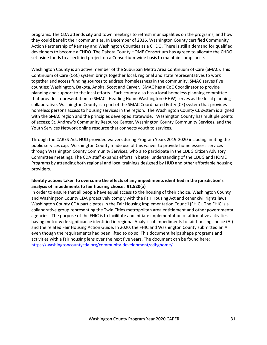programs. The CDA attends city and town meetings to refresh municipalities on the programs, and how they could benefit their communities. In December of 2016, Washington County certified Community Action Partnership of Ramsey and Washington Counties as a CHDO. There is still a demand for qualified developers to become a CHDO. The Dakota County HOME Consortium has agreed to allocate the CHDO set-aside funds to a certified project on a Consortium-wide basis to maintain compliance.

Washington County is an active member of the Suburban Metro Area Continuum of Care (SMAC). This Continuum of Care (CoC) system brings together local, regional and state representatives to work together and access funding sources to address homelessness in the community. SMAC serves five counties: Washington, Dakota, Anoka, Scott and Carver. SMAC has a CoC Coordinator to provide planning and support to the local efforts. Each county also has a local homeless planning committee that provides representation to SMAC. Heading Home Washington (HHW) serves as the local planning collaborative. Washington County is a part of the SMAC Coordinated Entry (CE) system that provides homeless persons access to housing services in the region. The Washington County CE system is aligned with the SMAC region and the principles developed statewide. Washington County has multiple points of access; St. Andrew's Community Resource Center, Washington County Community Services, and the Youth Services Network online resource that connects youth to services.

Through the CARES-Act, HUD provided waivers during Program Years 2019-2020 including limiting the public services cap. Washington County made use of this waiver to provide homelessness services through Washington County Community Services, who also participate in the CDBG Citizen Advisory Committee meetings. The CDA staff expands efforts in better understanding of the CDBG and HOME Programs by attending both regional and local trainings designed by HUD and other affordable housing providers.

## **Identify actions taken to overcome the effects of any impediments identified in the jurisdiction's analysis of impediments to fair housing choice. 91.520(a)**

In order to ensure that all people have equal access to the housing of their choice, Washington County and Washington County CDA proactively comply with the Fair Housing Act and other civil rights laws. Washington County CDA participates in the Fair Housing Implementation Council (FHIC). The FHIC is a collaborative group representing the Twin Cities metropolitan area entitlement and other governmental agencies. The purpose of the FHIC is to facilitate and initiate implementation of affirmative activities having metro-wide significance identified in regional Analysis of impediments to fair housing choice (AI) and the related Fair Housing Action Guide. In 2020, the FHIC and Washington County submitted an AI even though the requirements had been lifted to do so. This document helps shape programs and activities with a fair housing lens over the next five years. The document can be found here: <https://washingtoncountycda.org/community-development/cdbghome/>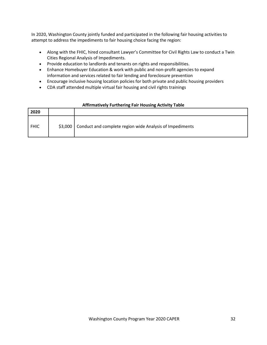In 2020, Washington County jointly funded and participated in the following fair housing activities to attempt to address the impediments to fair housing choice facing the region:

- Along with the FHIC, hired consultant Lawyer's Committee for Civil Rights Law to conduct a Twin Cities Regional Analysis of Impediments.
- Provide education to landlords and tenants on rights and responsibilities.
- Enhance Homebuyer Education & work with public and non-profit agencies to expand information and services related to fair lending and foreclosure prevention
- Encourage inclusive housing location policies for both private and public housing providers
- CDA staff attended multiple virtual fair housing and civil rights trainings

| 2020        |          |                                                          |
|-------------|----------|----------------------------------------------------------|
| <b>FHIC</b> | $$3,000$ | Conduct and complete region wide Analysis of Impediments |

## **Affirmatively Furthering Fair Housing Activity Table**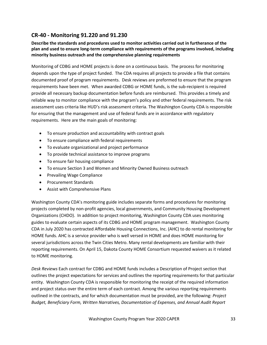# <span id="page-32-0"></span>**CR-40 - Monitoring 91.220 and 91.230**

**Describe the standards and procedures used to monitor activities carried out in furtherance of the plan and used to ensure long-term compliance with requirements of the programs involved, including minority business outreach and the comprehensive planning requirements**

Monitoring of CDBG and HOME projects is done on a continuous basis. The process for monitoring depends upon the type of project funded. The CDA requires all projects to provide a file that contains documented proof of program requirements. Desk reviews are preformed to ensure that the program requirements have been met. When awarded CDBG or HOME funds, is the sub-recipient is required provide all necessary backup documentation before funds are reimbursed. This provides a timely and reliable way to monitor compliance with the program's policy and other federal requirements. The risk assessment uses criteria like HUD's risk assessment criteria. The Washington County CDA is responsible for ensuring that the management and use of federal funds are in accordance with regulatory requirements. Here are the main goals of monitoring:

- To ensure production and accountability with contract goals
- To ensure compliance with federal requirements
- To evaluate organizational and project performance
- To provide technical assistance to improve programs
- To ensure fair housing compliance
- To ensure Section 3 and Women and Minority Owned Business outreach
- Prevailing Wage Compliance
- Procurement Standards
- Assist with Comprehensive Plans

Washington County CDA's monitoring guide includes separate forms and procedures for monitoring projects completed by non-profit agencies, local governments, and Community Housing Development Organizations (CHDO). In addition to project monitoring, Washington County CDA uses monitoring guides to evaluate certain aspects of its CDBG and HOME program management. Washington County CDA in July 2020 has contracted Affordable Housing Connections, Inc. (AHC) to do rental monitoring for HOME funds. AHC is a service provider who is well versed in HOME and does HOME monitoring for several jurisdictions across the Twin Cities Metro. Many rental developments are familiar with their reporting requirements. On April 15, Dakota County HOME Consortium requested waivers as it related to HOME monitoring.

*Desk Reviews* Each contract for CDBG and HOME funds includes a Description of Project section that outlines the project expectations for services and outlines the reporting requirements for that particular entity. Washington County CDA is responsible for monitoring the receipt of the required information and project status over the entire term of each contract. Among the various reporting requirements outlined in the contracts, and for which documentation must be provided, are the following: *Project Budget, Beneficiary Form, Written Narratives, Documentation of Expenses, and Annual Audit Report*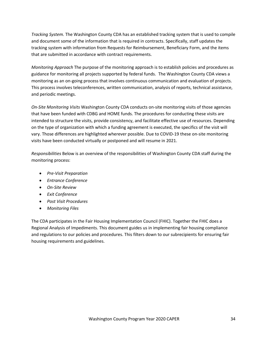*Tracking System.* The Washington County CDA has an established tracking system that is used to compile and document some of the information that is required in contracts. Specifically, staff updates the tracking system with information from Requests for Reimbursement, Beneficiary Form, and the items that are submitted in accordance with contract requirements.

*Monitoring Approach* The purpose of the monitoring approach is to establish policies and procedures as guidance for monitoring all projects supported by federal funds. The Washington County CDA views a monitoring as an on-going process that involves continuous communication and evaluation of projects. This process involves teleconferences, written communication, analysis of reports, technical assistance, and periodic meetings.

*On-Site Monitoring Visits* Washington County CDA conducts on-site monitoring visits of those agencies that have been funded with CDBG and HOME funds. The procedures for conducting these visits are intended to structure the visits, provide consistency, and facilitate effective use of resources. Depending on the type of organization with which a funding agreement is executed, the specifics of the visit will vary. Those differences are highlighted wherever possible. Due to COVID-19 these on-site monitoring visits have been conducted virtually or postponed and will resume in 2021.

*Responsibilities* Below is an overview of the responsibilities of Washington County CDA staff during the monitoring process:

- *Pre-Visit Preparation*
- *Entrance Conference*
- *On-Site Review*
- *Exit Conference*
- *Post Visit Procedures*
- *Monitoring Files*

The CDA participates in the Fair Housing Implementation Council (FHIC). Together the FHIC does a Regional Analysis of Impediments. This document guides us in implementing fair housing compliance and regulations to our policies and procedures. This filters down to our subrecipients for ensuring fair housing requirements and guidelines.